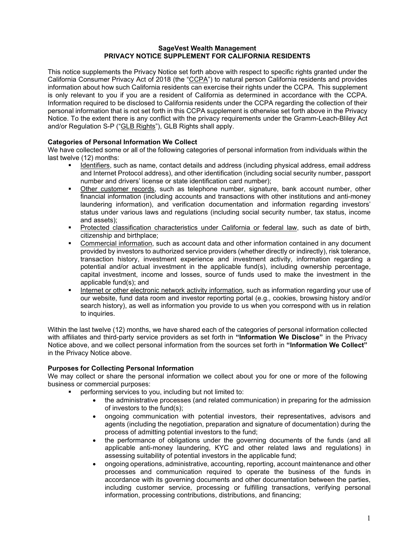#### **SageVest Wealth Management PRIVACY NOTICE SUPPLEMENT FOR CALIFORNIA RESIDENTS**

This notice supplements the Privacy Notice set forth above with respect to specific rights granted under the California Consumer Privacy Act of 2018 (the "CCPA") to natural person California residents and provides information about how such California residents can exercise their rights under the CCPA. This supplement is only relevant to you if you are a resident of California as determined in accordance with the CCPA. Information required to be disclosed to California residents under the CCPA regarding the collection of their personal information that is not set forth in this CCPA supplement is otherwise set forth above in the Privacy Notice. To the extent there is any conflict with the privacy requirements under the Gramm-Leach-Bliley Act and/or Regulation S-P ("GLB Rights"), GLB Rights shall apply.

# **Categories of Personal Information We Collect**

We have collected some or all of the following categories of personal information from individuals within the last twelve (12) months:

- Identifiers, such as name, contact details and address (including physical address, email address and Internet Protocol address), and other identification (including social security number, passport number and drivers' license or state identification card number);
- Other customer records, such as telephone number, signature, bank account number, other financial information (including accounts and transactions with other institutions and anti-money laundering information), and verification documentation and information regarding investors' status under various laws and regulations (including social security number, tax status, income and assets);
- Protected classification characteristics under California or federal law, such as date of birth, citizenship and birthplace;
- Commercial information, such as account data and other information contained in any document provided by investors to authorized service providers (whether directly or indirectly), risk tolerance, transaction history, investment experience and investment activity, information regarding a potential and/or actual investment in the applicable fund(s), including ownership percentage, capital investment, income and losses, source of funds used to make the investment in the applicable fund(s); and
- Internet or other electronic network activity information, such as information regarding your use of our website, fund data room and investor reporting portal (e.g., cookies, browsing history and/or search history), as well as information you provide to us when you correspond with us in relation to inquiries.

Within the last twelve (12) months, we have shared each of the categories of personal information collected with affiliates and third-party service providers as set forth in **"Information We Disclose"** in the Privacy Notice above, and we collect personal information from the sources set forth in **"Information We Collect"** in the Privacy Notice above.

# **Purposes for Collecting Personal Information**

We may collect or share the personal information we collect about you for one or more of the following business or commercial purposes:

- performing services to you, including but not limited to:
	- the administrative processes (and related communication) in preparing for the admission of investors to the fund(s);
	- ongoing communication with potential investors, their representatives, advisors and agents (including the negotiation, preparation and signature of documentation) during the process of admitting potential investors to the fund;
	- the performance of obligations under the governing documents of the funds (and all applicable anti-money laundering, KYC and other related laws and regulations) in assessing suitability of potential investors in the applicable fund;
	- ongoing operations, administrative, accounting, reporting, account maintenance and other processes and communication required to operate the business of the funds in accordance with its governing documents and other documentation between the parties, including customer service, processing or fulfilling transactions, verifying personal information, processing contributions, distributions, and financing;